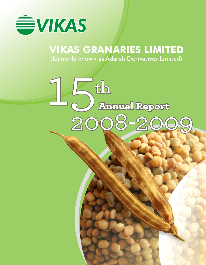

# **VIKAS GRANARIES LIMITED**

(formerly known as Adarsh Derivatives Limited)

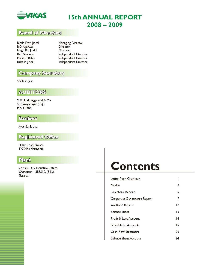

# **15th ANNUAL REPORT**  $2008 - 2009$

# **Board of Directors**

| Bimla Devi Jindal | Managing Director    |
|-------------------|----------------------|
| B.D.Agarwal       | Director             |
| Megh Raj Jindal   | Director             |
| Ravi Sharma       | Independent Director |
| Mahesh Batra      | Independent Director |
| Rakesh  indal     | Independent Director |

### **Company Secretary**

Shailesh Jain

# **AUDITORS**

S. Prakash Aggarwal & Co. Sri Ganganagar (Raj.) Pin. 335001

### **Bankers**

Axis Bank Ltd.

### Registered Office

Hisar Road, Siwani 127046 (Harayana)

## Plant

229, G.I.D.C. Industrial Estate, Chandisar - 385510. (B.K.) Gujarat

# **Contents**

| Letter from Chariman          |    |
|-------------------------------|----|
| Notice                        | 2  |
| Directors' Report             | 5  |
| Corporate Governance Report   | 7  |
| Auditors' Report              | 10 |
| Balance Sheet                 | 13 |
| Profit & Loss Account         | 4  |
| Schedule to Accounts          | 15 |
| <b>Cash Flow Statement</b>    | 23 |
| <b>Balance Sheet Abstract</b> | 24 |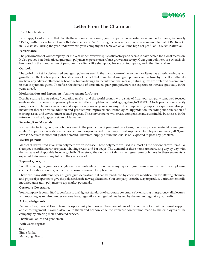

## **Letter From The Chairman**

#### Dear Shareholders,

I am happy to inform you that despite the economic meltdown, your company has reported excellent performance, i.e., nearly 115% growth in its volume of sales that stood at Rs. 35.66 Cr during the year under review as compared to that of Rs. 16.57 Cr in FY 2007-08. During the year under review, your company has achieved an all time high net profit of Rs. 6.70 Cr after tax.

#### **Performance**

The performance of your company for the year under review is quite satisfactory and seems to have beaten the global recession. It also proves that derivatized guar gum polymers export is on a robust growth trajectory. Guar gum polymers are extensively been used in the manufacture of personnel care items like shampoos, bar soaps, toothpaste, and other items alike.

#### **Outlook**

The global market for derivatized guar gum polymers used in the manufacture of personnel care items has experienced constant growth over the last few years. This is because of the fact that derivatized guar gum polymers are natural hydrocolloids that do not have any adverse effect on the health of human beings. In the international market, natural gums are preferred as compared to that of synthetic gums. Therefore, the demand of derivatized guar gum polymers are expected to increase gradually in the years ahead.

#### **Modernization and Expansion - An investment for future**

Despite soaring inputs prices, fluctuating market, and the world economy in a state of flux, your company remained focused on its modernization and expansion plans which after completion will add aggregating to 30000 TPA to its production capacity progressively. The modernization and expansion plans of your company, while emphasizing capacity expansion, also put maximum thrust on value addition and product mix improvement, technological upgradation, including modernization of existing assets and environment related projects. These investments will create competitive and sustainable businesses in the future enhancing long-term stakeholder value.

#### **Securing Raw Materials**

For manufacturing guar gum polymers used in the production of personnel care items, the principal raw material is guar gum splits. Company sources its raw materials from the open market from its approved suppliers. Despite poor monsoon, 2009 guar crop is adequate to meet out global demand. Therefore, supply of raw material is not expected to pose any problem.

#### **Market potential**

Market of derivatized guar gum polymers are on increase. These polymers are used in almost all the personnel care items like shampoos, conditioners, toothpaste, shaving cream and bar soaps. The demand of these items are increasing day by day with the increase of disposable income globally. Therefore, the demand of derivatized guar gum polymers in these segments is expected to increase many folds in the years ahead.

#### **Types of guar gum**

To talk about 'guar gum' as a single entity is misleading. There are many types of guar gum manufactured by employing chemical modification to give them an enormous range of application.

There are many different types of guar gum derivative that can be produced by chemical modification for altering chemical and physical properties to give the polysaccharide new applications. Your company is on the way to produce various chemically modified guar gum polymers to tap market potentials.

#### **Corporate Governance**

Your company is committed to conform to the highest standards of corporate governance by ensuring transparency, disclosures, and reporting as required under various laws, regulations and guidelines issued by the market regulatory authority.

#### **Acknowledgments**

Before I close, I would like to take this opportunity to thank all the shareholders of the company for their continued support and encouragement. I would also like to thank and acknowledge the immense contribution made by the employees of the company by offering their dedicated service.

Thank you ladies and gentlemen.

With warm regards,

| S/d               |
|-------------------|
| Bimla Jindal      |
| Managing Director |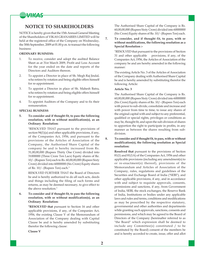

### **NOTICE TO SHAREHOLDERS**

NOTICE is hereby given that the 15th Annual General Meeting of the Shareholders of VIKAS GRANARIES LIMITED will be held at the registered office of the Company on Wednesday, the 30th September, 2009 at 01.00 p.m. to transact the following business:

#### **ORDINARY BUSINESS:**

- 1. To receive, consider and adopt the audited Balance Sheet as at 31st March 2009, Profit and Loss Account for the year ended on the date and reports of the Directors and Auditors thereon.
- 2. To appoint a Director in place of Sh. Megh Raj Jindal, who retires by rotation and being eligible offers himself for re-appointment.
- 3. To appoint a Director in place of Sh. Mahesh Batra, who retires by rotation and being eligible offers himself for re-appointment.
- 4. To appoint Auditors of the Company and to fix their remuneration.

#### **SPECIAL BUSINESS**

**5. To consider and if thought fit, to pass the following resolution, with or without modification(s), as an Ordinary Resolution:**

> "RESOLVED THAT pursuant to the provisions of section 94(1)(a) and other applicable provisions, if any, of the Companies Act, 1956, and pursuant to the provisions of the Articles of Association of the Company, the Authorised Share Capital of the company be and is hereby increased from Rs. 31,00,00,000 (Rupees Thirty One Crore) divided into 31000000 (Three Crore Ten Lacs) Equity shares of Re. 10/- (Rupees Ten) each to Rs. 60,00,00,000 (Rupees Sixty Crore) divided into 60000000 (Six Crore) Equity shares of Re. 10/- (Rupees Ten) each."

> RESOLVED FURTHER THAT the Board of Directors be and is hereby authorized to do all such acts, deeds and things including the filing of such forms and returns, as may be deemed necessary, to give effect to the above resolution."

#### **6. To consider and if thought fit, to pass the following resolution, with or without modification(s), as an Ordinary Resolution:**

**"RESOLVED that** pursuant to Section 16 and other applicable provisions, if any, of the Companies Act, 1956, the existing Clause V of the Memorandum of Association of the Company dealing with Capital Clause be and is hereby amended by substituting therefor the following clause:

**Clause V**

The Authorised Share Capital of the Company is Rs. 60,00,00,000 (Rupees Sixty Crore) divided into 60000000 (Six Crore) Equity shares of Re. 10/- (Rupees Ten) each.

**7. To consider, and if thought fit, to pass, with or without modifications, the following resolution as a Special Resolution :-**

> "RESOLVED that pursuant to the provisions of Section 31 and other applicable provisions, if any, of the Companies Act, 1956, the Articles of Association of the company be and are hereby amended in the following manner:

> The existing Article No. 3 of the Articles of Association of the Company dealing with Authorised Share Capital be and is hereby amended by substituting therefor the following Article:

#### **Article No. 3**

The Authorised Share Capital of the Company is Rs. 60,00,00,000 (Rupees Sixty Crore) divided into 60000000 (Six Crore) Equity shares of Re. 10/- (Rupees Ten) each with power to sub-divide, consolidate and increase and with power from time to time, to issue any shares of the original capital with and subject to any preferential, qualified or special rights, privileges or conditions as may be, thought fit, and upon the sub-division of shares to apportion the right to participate in profits, in any manner as between the shares resulting from subdivision.

#### **8. To consider and if thought fit, to pass, with or without modification(s), the following resolution as Special resolution:**

**Resolved that** pursuant to the provisions of Section 81(1) and 81(1A) of the Companies Act, 1956 and other applicable provisions (including any amendment(s) to or re-enactment(s) thereof), provisions of the Memorandum and Articles of Association of the Company, rules, regulations and guidelines of the Securities and Exchange Board of India ("SEBI"), and other applicable provisions, if any, and in accordance with and subject to requisite approvals, consents, permissions and sanctions, if any, from Government of India, SEBI, the stock exchanges, the Reserve Bank of India, Institutions or bodies under any applicable laws and rules and terms, conditions and modifications as may be prescribed by the respective statutory, governmental and other authorities and departments while granting such approvals, sanctions, consents and permissions, and which may be agreed to the Board of Directors of the Company (hereinafter referred to as "the Board" which expression shall be deemed to include any Committee(s) constituted / to be constituted by the Board) consent of the members be and is hereby accorded to create, issue, offer and allot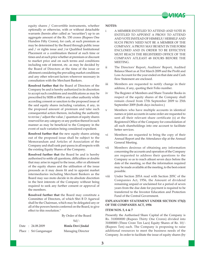

equity shares / Convertible instruments, whether optionally or otherwise, with or without detachable warrants (herein after called as "securities") up to an aggregate amount of the Rs. 150 crores (Rupees One Hundres Fifty Crores), for cash, at such premium as may be determined by the Board through public issue and / or rights issue and /or Qualified Institutional Placement or a combination thereof at such time or times and at such price whether at premium or discount to market price and on such terms and conditions including rate of interest, etc. as may be decided by the Board of Directors at the time of the issue or allotment considering the prevailing market conditions and any other relevant factors wherever necessary in consultation with the Merchant Bankers.

**Resolved further that** the Board of Directors of the Company be and is hereby authorized in its discretion to accept such conditions and modifications as may be prescribed by SEBI or RBI or any other authority while according consent or sanction to the proposed issue of the said equity shares including variation, if any, in the proposed amount of premium and take such consequential action thereon, including the authority to revise / adjust the value / quantum of equity shares reserved for any category or any portion thereof in such manner as may be beneficial to the Company in the event of such variation being considered expedient.

**Resolved further that** the new equity shares arising out of the proposed issue shall be subject to the Memorandum and Articles of Association of the Company and shall rank pari-passu in all respects with the existing Equity Shares of the Company.

**Resolved further that** the Board be and is hereby authorised to settle all questions, difficulties or doubts that may arise in regard to the issue, offer or allotment of the equity shares and the utilisation of the issue proceeds as it may deem fit and to appoint market intermediaries including Merchant Bankers as the Board may suo moto decide in its absolute discretion in the best interests of the Company without being required to seek any further consent or approval of the members.

**Resolved further that** the Board may constitute a Committee of Directors, of which Shri B D Agarwal shall be the Chairman, which may be delegated any or all of the powers herein conferred on the Board, to give effect to this resolution."

By Order of the Board

Sd/-

|  | Date: 24.08.2009      | <b>Bimla Devi Jindal</b> |
|--|-----------------------|--------------------------|
|  | Place: Sri Ganganagar | Managing Director        |

#### **NOTES:**

- i A MEMBER ENTITLED TO ATTEND AND VOTE IS ENTITLED TO APPOINT A PROXY TO ATTEND AND VOTE INSTEAD OF HIMSELF/ HERSELF AND SUCH PROXY NEED NOT BE A MEMBER OF THE COMPANY. A PROXY MAY BE SENT IN THE FORM ENCLOSED AND IN ORDER TO BE EFFECTIVE MUST REACH THE REGISTERED OFFICE OF THE COMPANY ATLEAST 48 HOURS BEFORE THE MEETING.
- ii The Directors' Report, Auditors' Report, Audited Balance Sheet as at 31st March 2009 and the Profit and Loss Account for the year ended on that date and Cash flow Statement are enclosed.
- iii Members are requested to notify change in their address, if any, quoting their Folio number.
- iv The Register of Members and Share Transfer Books in respect of the equity shares of the Company shall remain closed from 17th September 2009 to 25th September 2009 (both days inclusive.)
- v Members who have multiple accounts in identical names or joint accounts in same order are requested to sent all their relevant share certificate (s) at the Registered Office of the Company for consolidation of all such shareholdings into one account to facilitate better services.
- vi Members are requested to bring the copy of their Annual Report and the Attendance slip at the Annual General Meeting.
- vii Members desirous of obtaining any information concerning the accounts and operation of the Company are requested to address their questions to the Company so as to reach atleast seven days before the date of the meeting, so that the information required may be made available at the meeting, to the best extent possible.
- viii Under Section 205A read with Section 205C of the Companies Act, 1956, the Amount of dividend remaining unpaid or unclaimed for a period of seven years from the due date for payment is required to be transferred to the Investor Education and Protection Fund of the Central Government.

#### **EXPLANATORY STATEMENT UNDER SECTION 173(2) OF THE COMPANIES ACT, 1956**

#### **ITEM NOS. 5, 6 & 7**

Presently the Authorised Share Capital of the Company is Rs. 310000000 (Rupees Thirty One Crores) divided into 31000000 (Three Crore Ten Lacs) Equity Shares of Re. 10/- (Rupees Ten) each. The Company is proposing to raise additional resources to meet the business needs of the Company. In order to facilitate the issue of equity shares (by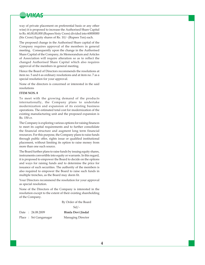

way of private placement on preferential basis or any other wise) it is proposed to increase the Authorised Share Capital to Rs. 60,00,00,000 (Rupees Sixty Crore) divided into 60000000 (Six Crore) Equity shares of Re. 10/- (Rupees Ten) each.

The proposed change in the Authorised Share capital of the Company requires approval of the members in general meeting. Consequently upon the change in the Authorised Share Capital of the Company, its Memorandum and Articles of Association will require alteration so as to reflect the changed Authorised Share Capital which also requires approval of the members in general meeting.

Hence the Board of Directors recommends the resolutions at item no. 5 and 6 as ordinary resolutions and at item no. 7 as a special resolution for your approval.

None of the directors is concerned or interested in the said resolutions

#### **ITEM NOS. 8**

To meet with the growing demand of the products internationally, the Company plans to undertake modernization and expansion of its existing business operations. The estimated total cost for modernization of the existing manufacturing unit and the proposed expansion is Rs. 150 cr.

The Company is exploring various options for raising finances to meet its capital requirements and to further consolidate the financial structure and augment long term financial resources. For this purpose, the Company plans to raise funds through public offer, rights issue or qualified institutional placement, without limiting its option to raise money from more than one such source.

The Board further plans to raise funds by issuing equity shares, instruments convertible into equity or warrants. In this regard, it is proposed to empower the Board to decide on the options and ways for raising funds and to determine the price for issuance of such securities. The authority of the members is also required to empower the Board to raise such funds in multiple trenches, as the Board may deem fit.

Your Directors recommend the resolution for your approval as special resolution.

None of the Directors of the Company is interested in the resolution except to the extent of their existing shareholding of the Company.

By Order of the Board

 $Sd$  /-Date : 24.08.2009 **Bimla Devi Jindal** Place: Sri Ganganagar Managing Director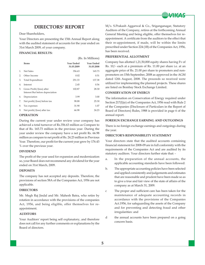

Dear Shareholders,

Your Directors are presenting the 15th Annual Report along with the audited statement of accounts for the year ended on 31st March 2009, of your company.

#### **FINANCIAL RESULTS:**

(Rs. In Millions)

|                | <b>Items</b>                                                  | Year Ended<br>31.03.2009 | <b>Year Ended</b><br>31.03.2008 |
|----------------|---------------------------------------------------------------|--------------------------|---------------------------------|
| $\mathbf{1}$ . | Net Sales                                                     | 356.63                   | 165.73                          |
| 2.             | Other Income                                                  | 0.02                     | 0.51                            |
| 3.             | Total Expenditure                                             | 251.33                   | 137.38                          |
| 4.             | <b>Interest</b>                                               | 2.45                     | 0.56                            |
| 5.             | Gross Profit/(loss) after<br>Interest But before depreciation | 102.87                   | 28.30                           |
| 6.             | Depreciation                                                  | 3.99                     | 3.00                            |
| 7.             | Net profit/(loss) before tax                                  | 98.88                    | 25.30                           |
| 8.             | Tax expenses                                                  | 31.90                    | 1.07                            |
| 9.             | Net profit/(loss) after tax                                   | 66.98                    | 24.23                           |

#### **OPERATION**

During the current year under review your company has achieved a total turnover of Rs.356.63 million as Compare to that of Rs. 165.73 million in the previous year. During the year under review the company have a net profit Rs. 66.98 million as compare to net profit of Rs. 24.23 million in Previous Year. Therefore, our profit for the current year grew by 176.43 % over the previous year.

#### **DIVIDEND**

The profit of the year used for expansion and modernization so, your Board does not recommend any dividend for the year ended on 31st March, 2009.

#### **DEPOSITS**

The company has not accepted any deposits. Therefore, the provisions of section 58A of the Companies Act, 1956 are not applicable.

#### **DIRECTORS**

Mr. Megh Raj Jindal and Mr. Mahesh Batra, who retire by rotation in accordance with the provisions of the companies Act, 1956, and being eligible, offer themselves for reappointment.

#### **AUDITORS**

Your Auditors' report being self explanatory, and therefore does not call for any further comments or explanations by the Board of directors.

M/s. S.Prakash Aggarwal & Co., Sriganganagar, Statutory Auditors of the Company, retires at the forthcoming Annual General Meeting and being eligible, offer themselves for reappointment. A certificate from the auditors to the effect that their re-appointment, if made, will be within the limits prescribed under Section 224 (1B) of the Companies Act, 1956, has been received.

VAIGAS

#### **PREFERENTIAL ALLOTMENT**

Company has allotted 1,21,50,000 equity shares having Fv of Rs. 10/- each at a premium of Rs. 11.00 per share i.e. at an aggregate price of Rs. 21.00 per share to promoters and nonpromoters on 15th September, 2008 as approved in the AGM dated 12th August, 2008. The proceeds so received were utilized for implementing the planned projects. These shares are listed on Bombay Stock Exchange Limited.

#### **CONSERVATION OF ENERGY**

The information on Conservation of Energy required under Section 217(I)(e) of the Companies Act, 1956 read with Rule 2 of the Companies (Disclosure of Particulars in the Report of Board of Directors) Rules, 1988 is provided in page 6 of the annual report.

#### **FOREIGN EXCHANGE EARNING AND OUTGOINGS**

There is no foreign exchange earnings and outgoings during the year.

#### **DIRECTOR'S RESPONSIBILITY STATEMENT**

Your directors state that the audited accounts containing financial statement for 2008-09 are in full conformity with the requirements of the Companies Act and are audited by its statutory auditors. Your directors further state that: -

- a. In the preparation of the annual accounts, the applicable accounting standards have been followed:
- b. The appropriate accounting policies have been selected and applied consistently and judgements and estimates that are reasonable and prudent have been made so as to give a true and fair view of the state of affairs of the company as at March 31, 2009.
- c The proper and sufficient care has been taken for the maintenance of adequate accounting records in accordance with the provisions of the Companies Act.1956, for safeguarding the assets of the Company and for preventing and detecting fraud and other irregularities: and
- d the annual accounts have been prepared on a going concern basis.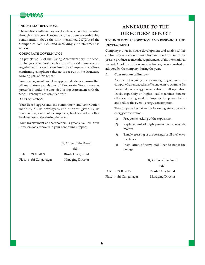

#### **INDUSTRIAL RELATIONS**

The relations with employees at all levels have been cordial throughout the year. The Company has no employee drawing remuneration above the limit mentioned 217(2A) of the Companies Act, 1956 and accordingly no statement is annexed.

#### **CORPORATE GOVERNANCE**

As per clause 49 of the Listing Agreement with the Stock Exchanges, a separate section on Corporate Governance together with a certificate from the Company's Auditors confirming compliance thereto is set out in the Annexure forming part of this report.

Your management has taken appropriate steps to ensure that all mandatory provisions of Corporate Governance as prescribed under the amended listing Agreement with the Stock Exchanges are complied with.

#### **APPRECIATION**

Your Board appreciates the commitment and contribution made by all its employees and support given by its shareholders, distributors, suppliers, bankers and all other business associates during the year.

Your involvement as shareholders is greatly valued. Your Directors look forward to your continuing support.

By Order of the Board

Sd/-

Date : 24.08.2009 **Bimla Devi Jindal** Place: Sri Ganganagar Managing Director

## **ANNEXURE TO THE DIRECTORS' REPORT**

#### **TECHNOLOGY ABSORPTION AND RESEARCH AND DEVELOPMENT**

Company's own in house development and analytical lab continuosly works on upgradation and modification of the present products to meet the requirements of the international market. Apart from this, no new technology was absorbed or adopted by the company during the year.

#### **A. Conservation of Energy:-**

As a part of ongoing energy saving programme your company has engaged an efficient team to examine the possibility of energy conservation at all operation levels, especially on higher load machines. Sincere efforts are being made to improve the power factor and reduce the overall energy consumption.

The company has taken the following steps towards energy conservation:-

- (1) Frequent checking of the capacitors.
- (2) Replacement of high power factor electric motors.
- (3) Timely greasing of the bearings of all the heavy machines.
- (4) Installation of servo stabilizer to boost the voltage.

By Order of the Board Sd/-

|  | Date: 24.08.2009       | Bimla Devi Jindal |
|--|------------------------|-------------------|
|  | Place : Sri Ganganagar | Managing Director |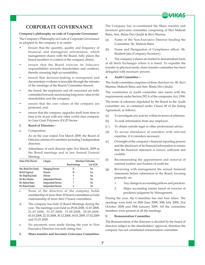

### **CORPORATE GOVERNANCE**

#### **Company's philosophy on code of Corporate Governance**

The Company's Philosophy on Code of Corporate Governance as adopted by the company is as under:

- Ensure that the quantity, quality and frequency of financial and managerial information, which management shares with the Board, fully places the board members in control of the company affairs;
- ensure that the Board exercise its fiduciary responsibilities towards shareholders and creditors, thereby ensuring high accountability;
- ensure that decision-making is transparent and documentary evidence is traceable through the minutes of the meetings of the Board/Committee thereof;
- the board, the employees and all concerned are fully committed towards maximizing long-term value to the shareholders and the company;
- ensure that the core values of the company are protected, and;
- ensure that the company upgrades itself from time to time to be at par with any other world class company in Guar Gum Polymers (GGP) Sector.
- **1. Board of Directors: -**
- a. Composition

As on the year ended 31st March 2009, the Board of Director consists of 6 members including 3 independent directors.

b. Attendance of each director upto 31st March, 2009 at the Board meetings and at last Annual General Meeting:

| Name of the Director   | Category                    | <b>Attendance Particulars</b> |          |  |
|------------------------|-----------------------------|-------------------------------|----------|--|
|                        |                             | <b>Board meetings</b>         | Last AGM |  |
| Mrs. Bimla Devi Jindal | <b>Managing Director</b>    | 11                            | Yes      |  |
| Mr.B.D.Agarwal         | Director                    | 10                            | Yes      |  |
| Mr. Megh Raj Jindal    | Director                    | 8                             | Yes      |  |
| Mr. Ravi Sharma        | <b>Independent Director</b> |                               | Yes      |  |
| Mr. Mahesh Batra       | <b>Independent Director</b> |                               | No       |  |
| Mr. Rakesh Jindal      | <b>Independent Director</b> |                               | No       |  |

- c. None of the directors of the company holds membership of more then 10 board committees or hold chairmanship of more then 5 board committees.
- d. The company has held 12 Board Meetings during the year. The meetings were held on 29.06.2008, 12.07.2008, 21.07.2008, 31.07.2008, 15.09.2008, 29.09.2008, 03.10.2008, 22.10.2008, 30.12.2008, 30.01.2009, 17.02.2009 and 31.03.2009.
- e. No payments were made during the year to Non Executive Directors towards sitting fees.
- **2. Share transfer and Investors Grievance Committee:**

The Company has re-constituted the Share transfer and Investors grievance committee comprising of Shri Mahesh Batra, Smt. Bimla Devi Jindal & Ravi Sharma.

- (a) Name of the Non-Executive Director heading the Committee: Sh. Mahesh Batra
- (b) Name and Designation of Compliance officer: Sh. Shailesh Jain (Company Secretary)

3. The company's shares are traded in dematrialised form at all Stock Exchanges where it is listed. To expedite the transfer in physical mode, share transfer committee has been delegated with necessary powers.

#### **4. Audit Committee :-**

The Audit committee comprises of three directors viz. Sh. Ravi Sharma, Mahesh Batra and Smt. Bimla Devi Jindal.

The constitution of Audit committee also meets with the requirements under Section 292 A of the companies Act, 1956.

The terms of reference stipulated by the Board to the Audit committee are, as contained under Clause 49 of the listing Agreement, as follows:

- (a) To investigate any activity within its terms of reference.
- (b) To seek information from any employee.
- (c ) To obtain outside legal or other professional advice.
- (d) To secure attendance of outsiders with relevant expertise, if it considers necessary.
- (e) Oversight of the company's financial reporting process and the disclosure of its financial information to ensure that the financial statement is correct, sufficient and credible.
- (f) Recommending the appointment and removal of external auditor and fixation of audit fee.
- (g) Reviewing with management the annual financial statements before submission to the Board, focusing primarily on:
	- 1. Any change in accounting policies and practices.
	- 2. Major accounting entries based on exercise of prudence judgment by Management.

During the year, the Committee has met four times. The meetings were held on 28th June 2008, 30th July 2008, 21st October 2008 and 29th January 2009. All the committee members were present at all the meetings.

#### **5. Remuneration Committee**

The Remuneration of the directors is decided by the board of directors subject to the shareholders' approval, therefore the company has not constituted remuneration committee.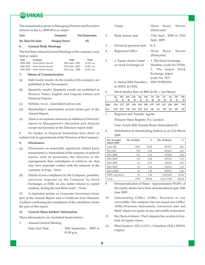

The remuneration given to Managing Director and Executive director in the f.y.2008-09 is as under:

| Name                   | Designation              | <b>Total Remuneration</b> |
|------------------------|--------------------------|---------------------------|
| Mrs. Bimla Devi Jindal | <b>Managing Director</b> | NIL                       |

#### **6. General Body Meetings**

The last three Annual General Meetings of the company were held as under:

| Year | Location                     | <b>Date</b>      | Time       |
|------|------------------------------|------------------|------------|
|      | 2005-2006 Hisar Road, Siwani | 28th Sept., 2006 | 10.00 a.m  |
|      | 2006-2007 Hisar Road, Siwani | 27th Sept., 2007 | 10.00 a.m. |
|      | 2007-2008 Hisar Road, Siwani | 12th Aug., 2008  | 10.00 a.m. |

#### **7. Means of Communication**

- (a) Half-Yearly results: As the results of the company are published in the Newspapers.
- (b) Quarterly results: Quarterly results are published in Western Times, English and Gujarati edition and Financial Express.
- (c) Website: www. Adarshderivatives.com
- (d) Shareholder's information section forms part of the Annual Report.
- (e) There is no separate annexure in addition to Directors' report on Management's discussion and Analysis except incorporated in the Directors report itself.

8. No banker or Financial Institutions have direct or indirect role in appointment of the Directors of the Company.

#### **9. Disclosures**

- (a) Disclosures on materially significant related party transactions i.e. transactions of the company of material nature, with its promoters, the directors or the management, their subsidiaries or relatives, etc. that may have potential conflict with the interests of the company at large.- None
- (b) Details of non-compliance by the Company, penalties, strictures imposed on the Company by Stock Exchanges or SEBI, on any matter related to capital markets, during the last three years: - None

10. A separated section on Corporate Governance forms part of the Annual Report and a Certificate from Statutory Auditors confirming the compliance of the conditions, forms the part of this report.

#### **11. General Share holders' Information**

These information's are furnished herein below: -

1. Annual General Meeting

Date And Time : 30th September, 2009 at 01.00 p.m

|    | Venue                                                      | (Harayana)     | : Hisar Road, Siwani                                                                             |  |
|----|------------------------------------------------------------|----------------|--------------------------------------------------------------------------------------------------|--|
| 2. | Book closure date                                          | Sept., 2009    | : 17th Sept., 2008 to 25th                                                                       |  |
| 3. | Dividend payment date: N.A.                                |                |                                                                                                  |  |
| 4. | Registered Office                                          | (Harayana)     | : Hisar Road, Siwani                                                                             |  |
| 5. | a. Equity shares Listed<br>on stock Exchanges at           | (code No. 767) | : 1. The Stock Exchange,<br>Mumbai, (code No.31518)<br>: 2. The Jaipur Stock<br>Exchange, Jaipur |  |
|    | b. Demat ISIN Numbers : - ISIN 767B01014<br>in NSDL & CDSL |                |                                                                                                  |  |

6. Stock Market Rate on BSE (in Rs. / per Share):

|      | Apr.<br>08 | 08 | May June July Aug Sept Oct Nov Dec Jan Feb<br>08 | 08 | 08 | 08 | 08 | 08 | 08        | 09 | 09                                                                          | Mar  <br>09 |
|------|------------|----|--------------------------------------------------|----|----|----|----|----|-----------|----|-----------------------------------------------------------------------------|-------------|
| High |            |    |                                                  |    |    |    |    |    |           |    | 17.80  17.15  15.87  15.00  19.24  19.85  15.75  11.99  11.35  12.00  10.30 | 9.50        |
| Low  |            |    | 14.70 12.35 9.95 11.45 13.00 15.10 8.85 8.11     |    |    |    |    |    | 8.90 8.62 |    | 8.05                                                                        | 6.53        |

<sup>7.</sup> Registrar and Transfer Agents

Pinnacle Share Registry Pvt. Limited.

Near Ashok Mill, Naroda Road Ahmedabad-25

8. Distribution of shareholding Pattern as on 31st March 2009

| No. of equity<br>shares held | No. of folios | $\frac{0}{0}$ | No. of Shares | $\frac{0}{0}$ |
|------------------------------|---------------|---------------|---------------|---------------|
| Upto 500                     | 4541          | 78.43         | 871977        | 4.81          |
| 501-1000                     | 559           | 9.65          | 476213        | 2.63          |
| 1001-2000                    | 321           | 5.54          | 512543        | 2.83          |
| 2001-3000                    | 119           | 2.06          | 307765        | 1.70          |
| 3001-4000                    | 41            | 0.71          | 146135        | 0.81          |
| 4001-5000                    | 67            | 1.16          | 319315        | 1.76          |
| 5001-10000                   | 61            | 1.05          | 445927        | 2.46          |
| 10001 and above              | 81            | 1.40          | 15037625      | 83.00         |
| Total                        | 5790          | 100.00        | 1,81,17,500   | 100.00        |

- 9. Dematerialisation of Share : Approximately 95.00% of the equity shares have been dematerialized upto 30th June 2009.
- 10. Outstanding GDRs/ ADRs/ Warrants or any convertible: The company has not issued any GDRs/ ADRs/Warrants instruments, conversion date and likely impact on equity of any convertible instrument.
- 11. Buy Back of shares : The Company has no plan to buyback its equity shares.
- 12. Plant location : 229, G.I.D.C., Chandisar ( B.K.) 385510. Gujarat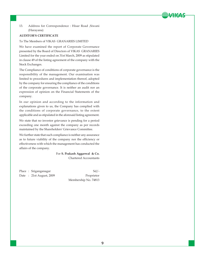

13. Address for Correspondence : Hisar Road ,Siwani (Harayana)

#### **AUDITOR'S CERTIFICATE**

#### To The Members of VIKAS GRANARIES LIMITED

We have examined the report of Corporate Governance presented by the Board of Directors of VIKAS GRANARIES Limited for the year ended on 31st March, 2009 as stipulated in clause 49 of the listing agreement of the company with the Stock Exchanges.

The Compliance of conditions of corporate governance is the responsibility of the management. Our examination was limited to procedures and implementation thereof, adopted by the company for ensuring the compliance of the conditions of the corporate governance. It is neither an audit nor an expression of opinion on the Financial Statements of the company.

In our opinion and according to the information and explanations given to us, the Company has complied with the conditions of corporate governance, to the extent applicable and as stipulated in the aforesaid listing agreement.

We state that no investor grievance is pending for a period exceeding one month against the company as per records maintained by the Shareholders' Grievance Committee.

We further state that such compliance is neither any assurance as to future viability of the company nor the efficiency or effectiveness with which the management has conducted the affairs of the company.

> For **S. Prakash Aggarwal & Co.** Chartered Accountants

Place : Sriganganagar Sd/-Date : 21st August, 2009 Proprietor

Membership No. 74813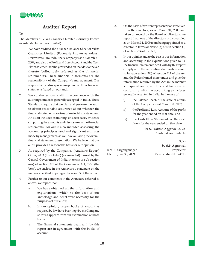

### **Auditor' Report**

#### To

The Members of Vikas Granaries Limited (formerly known as Adarsh Derivatives Limited)

- 1. We have audited the attached Balance Sheet of Vikas Granaries Limited (Formerly known as Adarsh Derivatives Limited), (the 'Company') as at March 31, 2009, and also the Profit and Loss Account and the Cash Flow Statement for the year ended on that date annexed thereto (collectively referred as the 'financial statements'). These financial statements are the responsibility of the Company's management. Our responsibility is to express an opinion on these financial statements based on our audit.
- 2. We conducted our audit in accordance with the auditing standards generally accepted in India. Those Standards require that we plan and perform the audit to obtain reasonable assurance about whether the financial statements are free of material misstatement. An audit includes examining, on a test basis, evidence supporting the amounts and disclosures in the financial statements. An audit also includes assessing the accounting principles used and significant estimates made by management, as well as evaluating the overall financial statement presentation. We believe that our audit provides a reasonable basis for our opinion.
- 3. As required by the Companies (Auditor's Report) Order, 2003 (the 'Order') (as amended), issued by the Central Government of India in terms of sub-section (4A) of section 227 of the Companies Act, 1956 (the 'Act'), we enclose in the Annexure a statement on the matters specified in paragraphs 4 and 5 of the order
- 4. Further to our comments in the Annexure referred to above, we report that:
	- a. We have obtained all the information and explanations, which to the best of our knowledge and belief were necessary for the purposes of our audit;
	- b. In our opinion, proper books of account as required by law have been kept by the Company so far as appears from our examination of those books
	- c. The financial statements dealt with by this report are in agreement with the books of account;
- d. On the basis of written representations received from the directors, as on March 31, 2009 and taken on record by the Board of Directors, we report that none of the directors is disqualified as on March 31, 2009 from being appointed as a director in terms of clause (g) of sub-section (1) of section 274 of the Act;
- e. In our opinion and to the best of our information and according to the explanations given to us, the financial statements dealt with by this report comply with the accounting standards referred to in sub-section (3C) of section 211 of the Act and the Rules framed there under and give the information required by the Act, in the manner so required and give a true and fair view in conformity with the accounting principles generally accepted in India, in the case of:
	- i) the Balance Sheet, of the state of affairs of the Company as at March 31, 2009;
	- ii) the Profit and Loss Account, of the profit for the year ended on that date; and
	- iii) the Cash Flow Statement, of the cash flows for the year ended on that date;

for **S. Prakash Aggarwal & Co** Chartered Accountants

#### $Sd$ /-

Place : Sriganganagar Proprietor Date : June 30, 2009 Membership No. 74813

by **S.P. Aggarwal**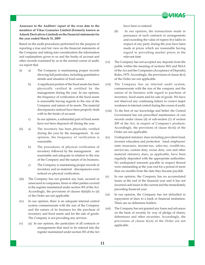

**Annexure to the Auditors' report of the even date to the members of Vikas Granaries Limited (Formerly known as Adarsh Derivatives Limited) on the financial statements for the year ended March 31, 2009**

Based on the audit procedures performed for the purpose of reporting a true and fair view on the financial statements of the Company and taking into consideration the information and explanations given to us and the books of account and other records examined by us in the normal course of audit, we report that

- (i) a) The Company is maintaining proper records showing full particulars, including quantitative details and situation of fixed assets.
	- b) A significant portion of the fixed assets has been physically verified & certified by the management during the year. In our opinion, the frequency of verification of the fixed assets is reasonable having regards to the size of the Company and nature of its assets. The material discrepancies noticed have been properly dealt with in the books of account.
	- c) In our opinion, a substantial part of fixed assets have not been disposed off during the year.
- (ii) a) The inventory has been physically verified during the year by the management. In our opinion, the frequency of verification is reasonable.
	- b) The procedures of physical verification of inventory followed by the management are reasonable and adequate in relation to the size of the Company and the nature of its business.
	- c) The Company is maintaining proper records of inventory and no material discrepancies were noticed on physical verification.
- (iii) The Company has not granted any loan, secured or unsecured to companies, firms or other parties covered in the register maintained under section 301 of the Act. Accordingly, the provisions of clauses 4(iii)(b) to (d) of the Order are not applicable.
- (iv) In our opinion, there is an adequate internal control system commensurate with the size of the Company and the nature of its business for the purchase of inventory and fixed assets and for the sale of goods. The Company is not providing any services.
- (v) (a) In our opinion, the particulars of all contracts or arrangements that need to be entered into the register maintained under section 301 of the Act

have been so entered.

- (b) In our opinion, the transactions made in pursuance of such contracts or arrangements and exceeding the value of rupees five lakhs in respect of any party during the year have been made at prices which are reasonable having regard to prevailing market prices at the relevant time
- (vi) The Company has not accepted any deposits from the public within the meaning of sections 58A and 58AA of the Act and the Companies (Acceptance of Deposits) Rules, 1975. Accordingly, the provisions of clause 4(vi) of the Order are not applicable.
- (vii) The Company has an internal audit system, commensurate with the size of the company and the nature of its business with regard to purchase of inventory, fixed assets and for sale of goods. We have not observed any continuing failure to correct major weakness in internal control during the course of audit.
- (viii) To the best of our knowledge and belief, the Central Government has not prescribed maintenance of cost records under clause (d) of sub-section (1) of section 209 of the Act, in respect of Company's products. Accordingly, the provisions of clause 4(viii) of the Order are not applicable.
- (ix) Undisputed statutory dues including provident fund, investor education and protection fund, employees' state insurance, income-tax, sales-tax, wealth-tax, service-tax, custom duty, excise duty, cess and other material statutory dues, as applicable, have been regularly deposited with the appropriate authorities. No undisputed amounts payable in respect thereof were outstanding at the year end for a period of more than six months from the date they became payable.
- (x) In our opinion, the Company has no accumulated losses at the end of the financial year and it has not incurred cash losses in the current and the immediately preceding financial year.
- (xi) In our opinion, the Company has not defaulted in repayment of dues to a bank or financial institution. There are no debenture holders.
- (xii) The Company has not granted any loans and advances on the basis of security by way of pledge of shares, debentures and other securities. Accordingly, the provisions of clause 4(xii) of the Order are not applicable.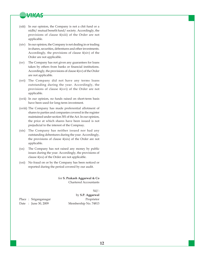

- (xiii) In our opinion, the Company is not a chit fund or a nidhi/ mutual benefit fund/ society. Accordingly, the provisions of clause 4(xiii) of the Order are not applicable.
- (xiv) In our opinion, the Company is not dealing in or trading in shares, securities, debentures and other investments. Accordingly, the provisions of clause 4(xiv) of the Order are not applicable.
- (xv) The Company has not given any guarantees for loans taken by others from banks or financial institutions. Accordingly, the provisions of clause 4(xv) of the Order are not applicable.
- (xvi) The Company did not have any terms loans outstanding during the year. Accordingly, the provisions of clause 4(xvi) of the Order are not applicable.
- (xvii) In our opinion, no funds raised on short-term basis have been used for long-term investment.
- (xviii) The Company has made preferential allotment of shares to parties and companies covered in the register maintained under section 301 of the Act. In our opinion, the price at which shares have been issued is not prejudicial to the interest of the Compnay.
- (xix) The Company has neither issued nor had any outstanding debentures during the year. Accordingly, the provisions of clause 4(xix) of the Order are not applicable.
- (xx) The Company has not raised any money by public issues during the year. Accordingly, the provisions of clause 4(xx) of the Order are not applicable.
- (xxi) No fraud on or by the Company has been noticed or reported during the period covered by our audit.

for **S. Prakash Aggarwal & Co** Chartered Accountants

 $Sd/-$ 

Place : Sriganganagar Proprietor Date : June 30, 2009 Membership No. 74813

by **S.P. Aggarwal**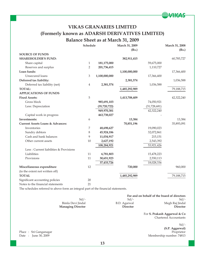

# **VIKAS GRANARIES LIMITED (Formerly known as ADARSH DERIVATIVES LIMITED) Balance Sheet as at March 31, 2009**

|                                             | Schedule       |                | March 31, 2009 |                | March 31, 2008 |
|---------------------------------------------|----------------|----------------|----------------|----------------|----------------|
|                                             |                |                | (Rs.)          |                | (Rs.)          |
| <b>SOURCE OF FUNDS</b>                      |                |                |                |                |                |
| <b>SHAREHOLDER'S FUND:</b>                  |                |                | 382,911,415    |                | 60,785,727     |
| Share capital                               | $\mathbf{1}$   | 181,175,000    |                | 59,675,000     |                |
| Reserves and surplus                        | $\overline{2}$ | 201,736,415    |                | 1,110,727      |                |
| Loan funds:                                 |                |                | 1,100,000,000  |                | 17,366,400     |
| Unsecured loans                             | $\mathfrak{Z}$ | 1,100,000,000  |                | 17,366,400     |                |
| Deferred tax liability:                     |                |                | 2,381,574      |                | 1,036,588      |
| Deferred tax liability (net)                | $\overline{4}$ | 2,381,574      |                | 1,036,588      |                |
| <b>TOTAL:</b>                               |                |                | 1,485,292,989  |                | 79,188,715     |
| <b>APPLICATIONS OF FUNDS</b>                |                |                |                |                |                |
| <b>Fixed Assets:</b>                        | 5              |                | 1,413,708,409  |                | 42,322,240     |
| Gross block                                 |                | 985,691,103    |                | 74,050,921     |                |
| Less: Depreciation                          |                | (35, 720, 722) |                | (31, 728, 681) |                |
|                                             |                | 949,970,381    |                | 42,322,240     |                |
| Capital work in progress                    |                | 463,738,027    |                |                |                |
| Investments:                                | 6              |                | 13,384         |                | 13,384         |
| <b>Current Assets Loans &amp; Advances:</b> |                |                | 70,851,196     |                | 35,893,091     |
| Inventories                                 | 7              | 48,698,627     |                | 19,090,023     |                |
| Sundry debtors                              | 8              | 45,924,186     |                | 32,072,861     |                |
| Cash and bank balances                      | 9              | 11,034,917     |                | 215,151        |                |
| Other current assets                        | 10             | 2,627,192      |                | 2,543,392      |                |
|                                             |                | 108,284,921    |                | 53,921,426     |                |
| Less : Current liabilities & Provisions     |                |                |                |                |                |
| Liabilities                                 | 11             | 6,781,803      |                | 15,478,223     |                |
| Provisions                                  | 11             | 30,651,923     |                | 2,550,113      |                |
|                                             |                | 37,433,726     |                | 18,028,336     |                |
| Miscellaneous expenditure                   | 12             |                | 720,000        |                | 960,000        |
| (to the extent not written off)             |                |                |                |                |                |
| <b>TOTAL</b>                                |                |                | 1,485,292,989  |                | 79,188,715     |
| Significant accounting policies             | 20             |                |                |                |                |
| Notes to the financial statements           | 21             |                |                |                |                |

The schedules referred to above form an integral part of the financial statements.

|                          | For and on behalf of the board of directors |                 |  |
|--------------------------|---------------------------------------------|-----------------|--|
| Sd $\prime$ -            | $Sd/$ -                                     | $Sd/-$          |  |
| Bimla Devi Jindal        | B.D. Agarwal                                | Megh Raj Jindal |  |
| <b>Managing Director</b> | <b>Director</b>                             | <b>Director</b> |  |

For **S. Prakash Aggarwal & Co** Chartered Accountants

Place : Sri Ganganagar<br>Date : June 30, 2009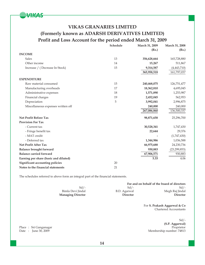

# **VIKAS GRANARIES LIMITED (Formerly known as ADARSH DERIVATIVES LIMITED) Profit and Loss Account for the period ended March 31, 2009**

|                                        | Schedule | March 31, 2009    | March 31, 2008 |
|----------------------------------------|----------|-------------------|----------------|
|                                        |          | (Rs.)             | (Rs.)          |
| <b>INCOME</b>                          |          |                   |                |
| <b>Sales</b>                           | 13       | 356,628,664       | 165,728,880    |
| Other income                           | 14       | 15,267            | 511,867        |
| Increase / (Decrease In Stock)         | 15       | 9,314,587         | (4,443,710)    |
|                                        |          | 365,958,518       | 161,797,037    |
| <b>EXPENDITURE</b>                     |          |                   |                |
| Raw material consumed                  | 15       | 240,468,075       | 126,751,477    |
| Manufacturing overheads                | 17       | 18,362,810        | 4,695,045      |
| Administrative expenses                | 18       | 1,571,890         | 1,253,987      |
| Financial charges                      | 19       | 2,452,045         | 562,953        |
| Depreciation                           | 5        | 3,992,041         | 2,996,875      |
| Miscellaneous expenses written off     |          | 240,000           | 240,000        |
|                                        |          | 267,086,860       | 136,500,337    |
| <b>Net Profit Before Tax</b>           |          | 98,871,658        | 25,296,700     |
| <b>Provision For Tax</b>               |          |                   |                |
| - Current tax                          |          | 30,528,341        | 1,747,430      |
| - Fringe benefit tax                   |          | 22,644            | 29,376         |
| - MAT credit                           |          |                   | (1,747,430)    |
| - Deferred tax                         |          | 1,344,986         | 1,036,588      |
| Net Profit After Tax                   |          | 66,975,688        | 24,230,736     |
| <b>Balance brought forward</b>         |          | 930,883           | (23, 299, 853) |
| <b>Balance carried forward</b>         |          | 67,906,571        | 930,883        |
| Earning per share (basic and diluted)  |          | $\overline{5.33}$ | 4.06           |
| <b>Significant accounting policies</b> | 20       |                   |                |
| Notes to the financial statements      | 21       |                   |                |

The schedules referred to above form an integral part of the financial statements.

|                          | For and on behalf of the board of directors |                 |  |
|--------------------------|---------------------------------------------|-----------------|--|
| $Sd/$ -                  | $Sd/$ -                                     | $Sd/-$          |  |
| Bimla Devi Jindal        | B.D. Agarwal                                | Megh Raj Jindal |  |
| <b>Managing Director</b> | <b>Director</b>                             | <b>Director</b> |  |

For **S. Prakash Aggarwal & Co** Chartered Accountants

 $Sd$  /-**(S.P. Aggarwal)** Membership number: 74813

Place : Sri Ganganagar<br>Date : June 30, 2009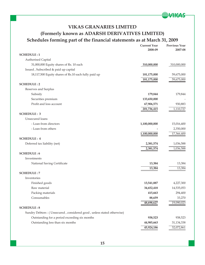

# **VIKAS GRANARIES LIMITED (Formerly known as ADARSH DERIVATIVES LIMITED) Schedules forming part of the financial statements as at March 31, 2009**

|                                                                       | <b>Current Year</b><br>2008-09 | Previous Year<br>2007-08 |
|-----------------------------------------------------------------------|--------------------------------|--------------------------|
| <b>SCHEDULE:1</b>                                                     |                                |                          |
| Authorised Capital                                                    |                                |                          |
| 31,000,000 Equity shares of Rs. 10 each                               | 310,000,000                    | 310,000,000              |
| Issued, Subscribed & paid up capital                                  |                                |                          |
| 18,117,500 Equity shares of Rs.10 each fully paid up                  | 181,175,000                    | 59,675,000               |
|                                                                       | 181,175,000                    | 59,675,000               |
| <b>SCHEDULE:2</b>                                                     |                                |                          |
| Reserves and Surplus                                                  |                                |                          |
| Subsidy                                                               | 179,844                        | 179,844                  |
| Securities premium                                                    | 133,650,000                    |                          |
| Profit and loss account                                               | 67,906,571                     | 930,883                  |
|                                                                       | 201,736,415                    | 1,110,727                |
| <b>SCHEDULE: 3</b>                                                    |                                |                          |
| Unsecured loans                                                       |                                |                          |
| - Loan from directors                                                 | 1,100,000,000                  | 15,016,400               |
| - Loan from others                                                    |                                | 2,350,000                |
|                                                                       | 1,100,000,000                  | 17,366,400               |
| <b>SCHEDULE: 4</b>                                                    |                                |                          |
| Deferred tax liability (net)                                          | 2,381,574                      | 1,036,588                |
|                                                                       | 2,381,574                      | 1,036,588                |
| <b>SCHEDULE:6</b>                                                     |                                |                          |
| Investments                                                           |                                |                          |
| National Saving Certificate                                           | 13,384                         | 13,384                   |
|                                                                       | 13,384                         | 13,384                   |
| <b>SCHEDULE: 7</b>                                                    |                                |                          |
| Inventories                                                           |                                |                          |
| Finished goods                                                        | 13,541,887                     | 4,227,300                |
| Raw material                                                          | 34,652,418                     | 14,535,053               |
| Packing materials                                                     | 415,663                        | 294,400                  |
| Consumables                                                           | 88,659                         | 33,270                   |
|                                                                       | 48,698,627                     | 19,090,023               |
| <b>SCHEDULE:8</b>                                                     |                                |                          |
| Sundry Debtors: (Unsecured, considered good, unless stated otherwise) |                                |                          |
| Outstanding for a period exceeding six months                         | 938,523                        | 938,523                  |
| Outstanding less than six months                                      | 44,985,663                     | 31,134,338               |
|                                                                       | 45,924,186                     | 32,072,861               |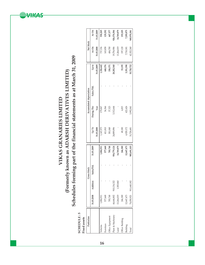Schedules forming part of the financial statements as at March 31, 2009 **Schedules forming part of the financial statements as at March 31, 2009** (Formerly known as ADARSH DERIVATIVES LIMITED) **(Formerly known as ADARSH DERIVATIVES LIMITED)** VIKAS GRANARIES LIMITED **VIKAS GRANARIES LIMITED**

**SARKERS** 

 ${\large\bf SCHEDULE:5}$  <br> Fixed assets **SCHEDULE : 5**

| ċ |
|---|
| π |
|   |
|   |

| Particulars           |            |               | <b>Gross block</b> |             |            |            | Accumulated depreciation |            | Net block   |             |
|-----------------------|------------|---------------|--------------------|-------------|------------|------------|--------------------------|------------|-------------|-------------|
|                       | 31.03.2008 | Addition      | Sales/Ifd.         | 31.03.2009  | $Up$ To    | During The | Sales / Ifd              | Up to      | $As \n  On$ | As On       |
|                       |            |               |                    |             | 31.03.2008 | Year       |                          | 31.03.2009 | 31.03.2008  | 31.03.2009  |
| /ehicles              | 1,884,911  |               |                    | 1,884,911   | 1,147,575  | 179,067    |                          | 1,326,642  | 737,336     | 558,269     |
| Fumiture              | 577,668    |               |                    | 577,668     | 411,810    | 36,566     |                          | 448,376    | 165,858     | 129,292     |
| <b>Mice Equipment</b> | 785,748    |               |                    | 785,748     | 301,048    | 37,323     |                          | 338,371    | 484,700     | 447,377     |
| Plant & Machinery     | 44,644,802 | 910, 134, 322 |                    | 954,779,124 | 24,889,896 | 312,644    |                          | 28,202,540 | 9,754,906   | 926,576,584 |
| Land                  | 13,264,019 | 1,505,860     |                    | 14,769,879  |            |            |                          |            | 13,264,019  | 14,769,879  |
| Office Building       | 246,300    |               |                    | 246,300     | 49,180     | 4,015      |                          | 53,195     | 197,120     | 193,105     |
| Building              | 12,647,473 |               |                    | 12,647,473  | 4,929,172  | 422,426    |                          | 5,351,598  | 7,718,301   | 7,295,875   |
| Total                 | 74,050,921 | 911,640,182   |                    | 985,691,103 | 31,728,681 | 3,992,041  |                          | 35,720,722 | 12,322,240  | 949,970,381 |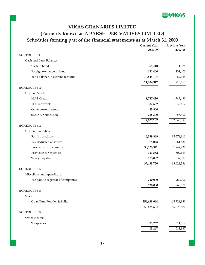

# **VIKAS GRANARIES LIMITED (Formerly known as ADARSH DERIVATIVES LIMITED) Schedules forming part of the financial statements as at March 31, 2009**

|                                    | <b>Current Year</b><br>2008-09 | <b>Previous Year</b><br>2007-08 |
|------------------------------------|--------------------------------|---------------------------------|
| <b>SCHEDULE: 9</b>                 |                                |                                 |
| Cash and Bank Balances             |                                |                                 |
| Cash in hand                       | 58,410                         | 1,386                           |
| Foreign exchange in hand           | 131,400                        | 131,400                         |
| Bank balance in current accounts   | 10,845,107                     | 82,365                          |
|                                    | 11,034,917                     | 215,151                         |
| <b>SCHEDULE: 10</b>                |                                |                                 |
| <b>Current Assets</b>              |                                |                                 |
| <b>MAT</b> Credit                  | 1,747,430                      | 1,747,430                       |
| TDS receivable                     | 37,662                         | 37,662                          |
| Other current assets               | 83,800                         |                                 |
| Security With GSEB                 | 758,300                        | 758,300                         |
|                                    | 2,627,192                      | 2,543,392                       |
| <b>SCHEDULE: 11</b>                |                                |                                 |
| <b>Current Liabilities</b>         |                                |                                 |
| Sundry creditors                   | 6,549,869                      | 15,378,811                      |
| Tax deducted at source             | 78,043                         | 61,830                          |
| Provision for Income Tax           | 30,528,341                     | 1,747,430                       |
| Provision for expenses             | 123,582                        | 802,683                         |
| Salary payable                     | 153,892                        | 37,582                          |
|                                    | 37,433,726                     | 18,028,336                      |
| <b>SCHEDULE: 12</b>                |                                |                                 |
| Miscellaneous expenditure          |                                |                                 |
| Fee paid to registrar of companies | 720,000                        | 960,000                         |
|                                    | 720,000                        | 960,000                         |
| <b>SCHEDULE: 13</b>                |                                |                                 |
| Sales                              |                                |                                 |
| Guar Gum Powder & Splits           | 356,628,664                    | 165,728,880                     |
|                                    | 356,628,664                    | 165,728,880                     |
| <b>SCHEDULE: 14</b>                |                                |                                 |
| Other Income                       |                                |                                 |
| Scrap sales                        | 15,267                         | 511,867                         |
|                                    | 15,267                         | 511,867                         |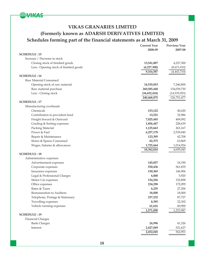

# **VIKAS GRANARIES LIMITED (Formerly known as ADARSH DERIVATIVES LIMITED) Schedules forming part of the financial statements as at March 31, 2009**

| 2008-09<br><b>SCHEDULE: 15</b><br>Increase / Decrease in stock<br>Closing stock of finished goods<br>13,541,887<br>Less: Opening stock of finished goods<br>(4,227,300)<br>9,314,587<br>(4,443,710)<br><b>SCHEDULE: 16</b><br>Raw Material Consumed<br>Opening stock of raw material<br>14,535,053<br>Raw material purchase<br>260,585,440<br>Less: Closing stock<br>(34, 652, 418)<br>240,468,075<br><b>SCHEDULE: 17</b><br>Manufacturing overheads<br>Chemicals<br>153,122<br>Contribution to provident fund<br>13,521<br>Freight Inward & Outward<br>7,025,445<br>Grading & Sorting expenses<br>1,856,447<br>Packing Material<br>1,125,663<br>Power & Fuel<br>6,257,178<br>Repair & Maintenance<br>123,395<br>Stores & Spares Consumed<br>82,375<br>Wages, Salaries & allowances<br>1,725,664<br>18,362,810<br><b>SCHEDULE: 18</b><br>Administrative expenses<br>Advertisement expenses<br>145,057<br>550,436<br>Corporate expenses<br>Insurance expenses<br>150,365<br>Legal & Professional Charges<br>6,000<br>Motor Car expenses<br>154,256<br>Office expenses<br>234,298<br>Rates & Taxes<br>6,235<br>18,000<br>Remuneration to Auditors<br>Telephone, Postage & Stationary<br>237,232<br>Travelling expenses<br>8,395<br>Vehicle running expenses<br>61,616<br>1,571,890 |                     | <b>Current Year</b> | <b>Previous Year</b> |
|----------------------------------------------------------------------------------------------------------------------------------------------------------------------------------------------------------------------------------------------------------------------------------------------------------------------------------------------------------------------------------------------------------------------------------------------------------------------------------------------------------------------------------------------------------------------------------------------------------------------------------------------------------------------------------------------------------------------------------------------------------------------------------------------------------------------------------------------------------------------------------------------------------------------------------------------------------------------------------------------------------------------------------------------------------------------------------------------------------------------------------------------------------------------------------------------------------------------------------------------------------------------------------|---------------------|---------------------|----------------------|
|                                                                                                                                                                                                                                                                                                                                                                                                                                                                                                                                                                                                                                                                                                                                                                                                                                                                                                                                                                                                                                                                                                                                                                                                                                                                                  |                     |                     | 2007-08              |
|                                                                                                                                                                                                                                                                                                                                                                                                                                                                                                                                                                                                                                                                                                                                                                                                                                                                                                                                                                                                                                                                                                                                                                                                                                                                                  |                     |                     |                      |
|                                                                                                                                                                                                                                                                                                                                                                                                                                                                                                                                                                                                                                                                                                                                                                                                                                                                                                                                                                                                                                                                                                                                                                                                                                                                                  |                     |                     |                      |
|                                                                                                                                                                                                                                                                                                                                                                                                                                                                                                                                                                                                                                                                                                                                                                                                                                                                                                                                                                                                                                                                                                                                                                                                                                                                                  |                     |                     | 4,227,300            |
|                                                                                                                                                                                                                                                                                                                                                                                                                                                                                                                                                                                                                                                                                                                                                                                                                                                                                                                                                                                                                                                                                                                                                                                                                                                                                  |                     |                     | (8,671,010)          |
|                                                                                                                                                                                                                                                                                                                                                                                                                                                                                                                                                                                                                                                                                                                                                                                                                                                                                                                                                                                                                                                                                                                                                                                                                                                                                  |                     |                     |                      |
|                                                                                                                                                                                                                                                                                                                                                                                                                                                                                                                                                                                                                                                                                                                                                                                                                                                                                                                                                                                                                                                                                                                                                                                                                                                                                  |                     |                     |                      |
|                                                                                                                                                                                                                                                                                                                                                                                                                                                                                                                                                                                                                                                                                                                                                                                                                                                                                                                                                                                                                                                                                                                                                                                                                                                                                  |                     |                     |                      |
|                                                                                                                                                                                                                                                                                                                                                                                                                                                                                                                                                                                                                                                                                                                                                                                                                                                                                                                                                                                                                                                                                                                                                                                                                                                                                  |                     |                     | 7,246,800            |
|                                                                                                                                                                                                                                                                                                                                                                                                                                                                                                                                                                                                                                                                                                                                                                                                                                                                                                                                                                                                                                                                                                                                                                                                                                                                                  |                     |                     | 134,039,730          |
|                                                                                                                                                                                                                                                                                                                                                                                                                                                                                                                                                                                                                                                                                                                                                                                                                                                                                                                                                                                                                                                                                                                                                                                                                                                                                  |                     |                     | (14, 535, 053)       |
|                                                                                                                                                                                                                                                                                                                                                                                                                                                                                                                                                                                                                                                                                                                                                                                                                                                                                                                                                                                                                                                                                                                                                                                                                                                                                  |                     |                     | 126,751,477          |
|                                                                                                                                                                                                                                                                                                                                                                                                                                                                                                                                                                                                                                                                                                                                                                                                                                                                                                                                                                                                                                                                                                                                                                                                                                                                                  |                     |                     |                      |
|                                                                                                                                                                                                                                                                                                                                                                                                                                                                                                                                                                                                                                                                                                                                                                                                                                                                                                                                                                                                                                                                                                                                                                                                                                                                                  |                     |                     |                      |
|                                                                                                                                                                                                                                                                                                                                                                                                                                                                                                                                                                                                                                                                                                                                                                                                                                                                                                                                                                                                                                                                                                                                                                                                                                                                                  |                     |                     | 40,620               |
|                                                                                                                                                                                                                                                                                                                                                                                                                                                                                                                                                                                                                                                                                                                                                                                                                                                                                                                                                                                                                                                                                                                                                                                                                                                                                  |                     |                     | 32,986               |
|                                                                                                                                                                                                                                                                                                                                                                                                                                                                                                                                                                                                                                                                                                                                                                                                                                                                                                                                                                                                                                                                                                                                                                                                                                                                                  |                     |                     | 469,092              |
|                                                                                                                                                                                                                                                                                                                                                                                                                                                                                                                                                                                                                                                                                                                                                                                                                                                                                                                                                                                                                                                                                                                                                                                                                                                                                  |                     |                     | 228,639              |
|                                                                                                                                                                                                                                                                                                                                                                                                                                                                                                                                                                                                                                                                                                                                                                                                                                                                                                                                                                                                                                                                                                                                                                                                                                                                                  |                     |                     | 263,167              |
|                                                                                                                                                                                                                                                                                                                                                                                                                                                                                                                                                                                                                                                                                                                                                                                                                                                                                                                                                                                                                                                                                                                                                                                                                                                                                  |                     |                     | 2,539,040            |
|                                                                                                                                                                                                                                                                                                                                                                                                                                                                                                                                                                                                                                                                                                                                                                                                                                                                                                                                                                                                                                                                                                                                                                                                                                                                                  |                     |                     | 42,708               |
|                                                                                                                                                                                                                                                                                                                                                                                                                                                                                                                                                                                                                                                                                                                                                                                                                                                                                                                                                                                                                                                                                                                                                                                                                                                                                  |                     |                     | 63,869               |
|                                                                                                                                                                                                                                                                                                                                                                                                                                                                                                                                                                                                                                                                                                                                                                                                                                                                                                                                                                                                                                                                                                                                                                                                                                                                                  |                     |                     | 1,014,924            |
|                                                                                                                                                                                                                                                                                                                                                                                                                                                                                                                                                                                                                                                                                                                                                                                                                                                                                                                                                                                                                                                                                                                                                                                                                                                                                  |                     |                     | 4,695,045            |
|                                                                                                                                                                                                                                                                                                                                                                                                                                                                                                                                                                                                                                                                                                                                                                                                                                                                                                                                                                                                                                                                                                                                                                                                                                                                                  |                     |                     |                      |
|                                                                                                                                                                                                                                                                                                                                                                                                                                                                                                                                                                                                                                                                                                                                                                                                                                                                                                                                                                                                                                                                                                                                                                                                                                                                                  |                     |                     |                      |
|                                                                                                                                                                                                                                                                                                                                                                                                                                                                                                                                                                                                                                                                                                                                                                                                                                                                                                                                                                                                                                                                                                                                                                                                                                                                                  |                     |                     | 18,190               |
|                                                                                                                                                                                                                                                                                                                                                                                                                                                                                                                                                                                                                                                                                                                                                                                                                                                                                                                                                                                                                                                                                                                                                                                                                                                                                  |                     |                     | 561,839              |
|                                                                                                                                                                                                                                                                                                                                                                                                                                                                                                                                                                                                                                                                                                                                                                                                                                                                                                                                                                                                                                                                                                                                                                                                                                                                                  |                     |                     | 146,906              |
|                                                                                                                                                                                                                                                                                                                                                                                                                                                                                                                                                                                                                                                                                                                                                                                                                                                                                                                                                                                                                                                                                                                                                                                                                                                                                  |                     |                     | 5,920                |
|                                                                                                                                                                                                                                                                                                                                                                                                                                                                                                                                                                                                                                                                                                                                                                                                                                                                                                                                                                                                                                                                                                                                                                                                                                                                                  |                     |                     | 152,898              |
|                                                                                                                                                                                                                                                                                                                                                                                                                                                                                                                                                                                                                                                                                                                                                                                                                                                                                                                                                                                                                                                                                                                                                                                                                                                                                  |                     |                     | 172,099              |
|                                                                                                                                                                                                                                                                                                                                                                                                                                                                                                                                                                                                                                                                                                                                                                                                                                                                                                                                                                                                                                                                                                                                                                                                                                                                                  |                     |                     | 27,206               |
|                                                                                                                                                                                                                                                                                                                                                                                                                                                                                                                                                                                                                                                                                                                                                                                                                                                                                                                                                                                                                                                                                                                                                                                                                                                                                  |                     |                     | 18,000               |
|                                                                                                                                                                                                                                                                                                                                                                                                                                                                                                                                                                                                                                                                                                                                                                                                                                                                                                                                                                                                                                                                                                                                                                                                                                                                                  |                     |                     | 87,727               |
|                                                                                                                                                                                                                                                                                                                                                                                                                                                                                                                                                                                                                                                                                                                                                                                                                                                                                                                                                                                                                                                                                                                                                                                                                                                                                  |                     |                     | 22,302               |
|                                                                                                                                                                                                                                                                                                                                                                                                                                                                                                                                                                                                                                                                                                                                                                                                                                                                                                                                                                                                                                                                                                                                                                                                                                                                                  |                     |                     | 40,900               |
|                                                                                                                                                                                                                                                                                                                                                                                                                                                                                                                                                                                                                                                                                                                                                                                                                                                                                                                                                                                                                                                                                                                                                                                                                                                                                  |                     |                     | 1,253,987            |
|                                                                                                                                                                                                                                                                                                                                                                                                                                                                                                                                                                                                                                                                                                                                                                                                                                                                                                                                                                                                                                                                                                                                                                                                                                                                                  | <b>SCHEDULE: 19</b> |                     |                      |
| <b>Financial Charges</b>                                                                                                                                                                                                                                                                                                                                                                                                                                                                                                                                                                                                                                                                                                                                                                                                                                                                                                                                                                                                                                                                                                                                                                                                                                                         |                     |                     |                      |
| 24,996<br><b>Bank Charges</b>                                                                                                                                                                                                                                                                                                                                                                                                                                                                                                                                                                                                                                                                                                                                                                                                                                                                                                                                                                                                                                                                                                                                                                                                                                                    |                     |                     | 41,326               |
| Interest<br>2,427,049                                                                                                                                                                                                                                                                                                                                                                                                                                                                                                                                                                                                                                                                                                                                                                                                                                                                                                                                                                                                                                                                                                                                                                                                                                                            |                     |                     | 521,627              |
| 2,452,045                                                                                                                                                                                                                                                                                                                                                                                                                                                                                                                                                                                                                                                                                                                                                                                                                                                                                                                                                                                                                                                                                                                                                                                                                                                                        |                     |                     | 562,953              |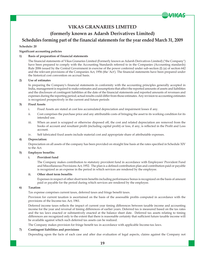## **VIKAS GRANARIES LIMITED**

▞*▊▐▐⋐▁▙* 

### **(formerly known as Adarsh Derivatives Limited)**

### **Schedules forming part of the financial statements for the year ended March 31, 2009**

#### **Schedule: 20**

#### **Significant accounting policies**

#### **1) Basis of preparation of financial statements**

The financial statements of Vikas Granaries Limited (Formerly known as Adarsh Derivatives Limited) ("the Company") have been prepared to comply with the Accounting Standards referred to in the Companies (Accounting standards) Rule 2006 issued by the Central Government in exercise of the power conferred under sub-section (I) (a) of section 642 and the relevant provisions of the Companies Act, 1956 (the 'Act'). The financial statements have been prepared under the historical cost convention on accrual basis.

#### **2) Use of estimates**

In preparing the Company's financial statements in conformity with the accounting principles generally accepted in India, management is required to make estimates and assumptions that affect the reported amounts of assets and liabilities and the disclosure of contingent liabilities at the date of the financial statements and reported amounts of revenues and expenses during the reporting period; actual results could differ from those estimates. Any revision to accounting estimates is recognized prospectively in the current and future periods

#### **3) Fixed Assets**

- i. Fixed Assets are stated at cost less accumulated depreciation and impairment losses if any.
- ii. Cost comprises the purchase price and any attributable costs of bringing the asset to its working condition for its intended use.
- iii. When an asset is scrapped or otherwise disposed off, the cost and related depreciation are removed from the books of account and resultant profit (including capital profit) or loss, if any, is reflected in the Profit and Loss account.
- iv. Self fabricated fixed assets include material cost and appropriate share of attributable expenses.

#### **4) Depreciation:**

Depreciation on all assets of the company has been provided on straight line basis at the rates specified in Schedule XIV to the Act.

#### **5) Employee benefits:**

#### **i. Provident fund**

The Company makes contribution to statutory provident fund in accordance with Employees' Provident Fund and Miscellaneous Provisions Act, 1952. The plan is a defined contribution plan and contribution paid or payable is recognized as an expense in the period in which services are rendered by the employee.

#### **ii. Other short term benefits**

Expenses in respect of other short term benefits including performance bonus is recognized on the basis of amount paid or payable for the period during which services are rendered by the employee.

#### **6) Taxation**

Tax expense comprises current taxes, deferred taxes and fringe benefit taxes.

Provision for current taxation is ascertained on the basis of the assessable profits computed in accordance with the provisions of the Income-tax Act, 1961.

Deferred income taxes reflects the impact of current year timing differences between taxable income and accounting income for the year and reversal of timing differences of earlier years. Deferred tax is measured based on the tax rates and the tax laws enacted or substantively enacted at the balance sheet date. Deferred tax assets relating to timing differences are recognized only to the extent that there is reasonable certainty that sufficient future taxable income will be available against which such deferred tax assets can be realized.

The Company makes provision for fringe benefit tax in accordance with applicable Income-tax laws.

#### **7) Contingent liabilities and provisions**

Depending upon the facts of each case and after due evaluation of legal aspects, claims against the Company not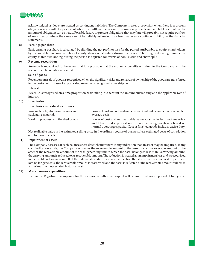

acknowledged as debts are treated as contingent liabilities. The Company makes a provision when there is a present obligation as a result of a past event where the outflow of economic resources is probable and a reliable estimate of the amount of obligation can be made. Possible future or present obligations that may but will probably not require outflow of resources or where the same cannot be reliably estimated, has been made as a contingent libility in the fianacial statements.

#### **8) Earnings per share**

Basic earning per share is calculated by dividing the net profit or loss for the period attributable to equity shareholders by the weighted average number of equity shares outstanding during the period. The weighted average number of equity shares outstanding during the period is adjusted for events of bonus issue and share split.

#### **9) Revenue recognition**

Revenue is recognized to the extent that it is probable that the economic benefits will flow to the Company and the revenue can be reliably measured.

#### **Sale of goods**

Revenue from sale of goods is recognized when the significant risks and rewards of ownership of the goods are transferred to the customer. In case of export sales, revenue is recognized after shipment.

#### **Interest**

Revenue is recognised on a time proportion basis taking into account the amount outstanding and the applicable rate of interest.

#### **10) Inventories**

#### **Inventories are valued as follows:**

| Raw materials, stores and spares and | Lower of cost and net realizable value. Cost is determined on a weighted                                                                                                                                             |
|--------------------------------------|----------------------------------------------------------------------------------------------------------------------------------------------------------------------------------------------------------------------|
| packaging materials                  | average basis.                                                                                                                                                                                                       |
| Work in progress and finished goods  | Lower of cost and net realizable value. Cost includes direct materials<br>and labour and a proportion of manufacturing overheads based on<br>normal operating capacity. Cost of finished goods includes excise duty. |

Net realizable value is the estimated selling price in the ordinary course of business, less estimated costs of completion and to make the sale.

#### **11) Impairment of assets**

The Company assesses at each balance sheet date whether there is any indication that an asset may be impaired. If any such indication exists, the Company estimates the recoverable amount of the asset. If such recoverable amount of the asset or the recoverable amount of the cash generating unit to which the asset belongs is less than its carrying amount, the carrying amount is reduced to its recoverable amount. The reduction is treated as an impairment loss and is recognised in the profit and loss account. If at the balance sheet date there is an indication that if a previously assessed impairment loss no longer exists, the recoverable amount is reassessed and the asset is reflected at the recoverable amount subject to a maximum of depreciated historical cost.

#### **12) Miscellaneous expenditure**

Fee paid to Registrar of companies for the increase in authorized capital will be amortized over a period of five years.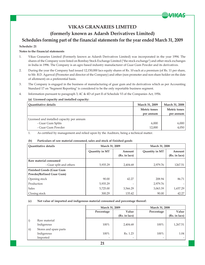# **VIKAS GRANARIES LIMITED**

**VAIGAS** 

### **(formerly known as Adarsh Derivatives Limited)**

### **Schedules forming part of the financial statements for the year ended March 31, 2009**

#### **Schedule: 21**

#### **Notes to the financial statements**

- 1. Vikas Granaries Limited (Formerly known as Adarsh Derivatives Limited) was incorporated in the year 1994. The shares of the Company were listed on Bombay Stock Exchange Limited ("the stock exchange") and other stock exchanges in India in 1996. The Company is an agro based industry manufacturer of Guar Gum Powder and its derivatives.
- 2. During the year the Company had issued 12,150,000 lacs equity shares of Rs. 10 each at a premium (of Rs. 11 per share, to Mr. B.D. Agarwal (Promoter and director of the Company) and other (non promoter and non share holder on the date of allotment) on a preferential basis.
- 3. The Company is engaged in the business of manufacturing of guar gum and its derivatives which as per Accounting Standard 17 on "Segment Reporting" is considered to be the only reportable business segment.
- 4. Information pursuant to paragraph 3, 4C & 4D of part II of Schedule VI of the Companies Act, 1956.

#### **(a) Licensed capacity and installed capacity:**

| Quantitative details                      | <b>March 31, 2009</b> | March 31, 2008 |
|-------------------------------------------|-----------------------|----------------|
|                                           | <b>Metric tones</b>   | Metric tones   |
|                                           | per annum             | per annum      |
| Licensed and installed capacity per annum |                       |                |
| - Guar Gum Splits                         | 6,000                 | 6,000          |
| - Guar Gum Powder                         | 12,000                | 4,050          |

1. As certified by management and relied upon by the Auditors, being a technical matter.

#### **(b) Particulars of raw material consumed, sales and stock of finished goods**

| <b>Ouantitative details</b>                      | March 31, 2009 |                         | March 31, 2008 |                         |
|--------------------------------------------------|----------------|-------------------------|----------------|-------------------------|
|                                                  | Quantity in MT | Amount<br>(Rs. in lacs) | Quantity in MT | Amount<br>(Rs. in lacs) |
|                                                  |                |                         |                |                         |
| Raw material consumed<br>- Guar split and others | 5,935.29       | 2,404.68                | 2,979.76       | 1267.51                 |
| <b>Finished Goods (Guar Gum</b>                  |                |                         |                |                         |
| Powder/Refined Guar Gum)                         |                |                         |                |                         |
| Opening stock                                    | 90.00          | 42.27                   | 208.94         | 86.71                   |
| Production                                       | 5,935.29       | $\overline{a}$          | 2,979.76       |                         |
| <b>Sales</b>                                     | 5,725.00       | 3,566.29                | 3,063.39       | 1,657.29                |
| Closing stock                                    | 300.29         | 135.42                  | 90.00          | 42.27                   |

#### **(c) Net value of imported and indigenous material consumed and percentage thereof:**

|                   |                        | March 31, 2009           |               | March 31, 2008           |               |
|-------------------|------------------------|--------------------------|---------------|--------------------------|---------------|
|                   |                        | Percentage               | Value         | Percentage               | Value         |
|                   |                        |                          | (Rs. in lacs) |                          | (Rs. in lacs) |
| $\vert i \rangle$ | Raw material           |                          |               |                          |               |
|                   | Indigenous             | 100%                     | 2,404.68      | 100%                     | 1,267.51      |
| $\vert$ ii)       | Stores and spare parts |                          |               |                          |               |
|                   | Indigenous             | 100%                     | Rs. 1.23      | 100%                     | 1.04          |
|                   | Imported               | $\overline{\phantom{0}}$ | -             | $\overline{\phantom{0}}$ |               |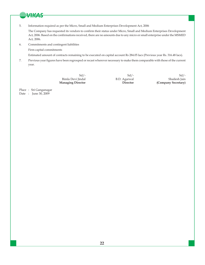

5. Information required as per the Micro, Small and Medium Enterprises Development Act, 2006

The Company has requested its vendors to confirm their status under Micro, Small and Medium Enterprises Development Act, 2006. Based on the confirmations received, there are no amounts due to any micro or small enterprise under the MSMED Act, 2006.

6. Commitments and contingent liabilities

Firm capital commitments

Estimated amount of contracts remaining to be executed on capital account Rs 284.05 lacs (Previous year Rs. 316.48 lacs).

7. Previous year figures have been regrouped or recast wherever necessary to make them comparable with those of the current year.

 $Sd$  /-  $Sd$  /-Bimla Devi Jindal B.D. Agarwal Shailesh Jain Shailesh Jain Shailesh Jain Shailesh Jain Shailesh Jain Shailesh Jain Shailesh Jain Shailesh Jain Shailesh Jain Shailesh Jain Shailesh Jain Shailesh Jain Shailesh Jain Shailesh **Director** (Company Secretary)

Place : Sri Ganganagar Date : June 30, 2009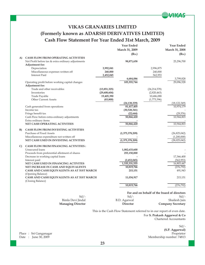# **VIKAS GRANARIES LIMITED (Formerly known as ADARSH DERIVATIVES LIMITED) Cash Flow Statement For Year Ended 31st March, 2009**

|    |                                                                                    |              | <b>Year Ended</b>           |                | <b>Year Ended</b>                           |
|----|------------------------------------------------------------------------------------|--------------|-----------------------------|----------------|---------------------------------------------|
|    |                                                                                    |              | March 31, 2009              |                | March 31, 2008                              |
|    |                                                                                    |              | (Rs.)                       |                | (Rs.)                                       |
| A) | <b>CASH FLOW FROM OPERATING ACTIVITIES</b>                                         |              |                             |                |                                             |
|    | Net Profit before tax & extra ordinary adjustments                                 |              | 98,871,658                  |                | 25,296,700                                  |
|    | Adjustment for:                                                                    |              |                             |                |                                             |
|    | Depreciation                                                                       | 3,992,041    |                             | 2,996,875      |                                             |
|    | Miscellaneous expenses written off                                                 | 240,000      |                             | 240,000        |                                             |
|    | <b>Interest Paid</b>                                                               | 2,452,045    |                             | 562,953        |                                             |
|    |                                                                                    |              | 6,684,086                   |                | 3,799,828                                   |
|    | Operating profit before working capital changes                                    |              | 105,555,744                 |                | 29.096.528                                  |
|    | Adjustment for:                                                                    |              |                             |                |                                             |
|    | Trade and other receivables                                                        | (13,851,325) |                             | (24, 214, 578) |                                             |
|    | Inventories                                                                        | (29,608,604) |                             | (2,820,463)    |                                             |
|    | Trade Payable                                                                      | 19,405,390   |                             | 10,686,088     |                                             |
|    | <b>Other Current Assets</b>                                                        | (83, 800)    |                             | (1,773,396)    |                                             |
|    |                                                                                    |              | (24, 138, 339)              |                | (18, 122, 349)                              |
|    | Cash generated from operations                                                     |              | 81,417,405                  |                | 10,974,179                                  |
|    | Income tax                                                                         |              | (30,528,341)                |                |                                             |
|    | Fringe benefit tax                                                                 |              | (22, 644)<br>50,866,420     |                | (29, 376)<br>10,944,803                     |
|    | Cash Flow before extra-ordinary adjustments<br>Extra ordinary items                |              |                             |                |                                             |
|    | NET CASH OPERATING ACTIVITIES                                                      |              | 50,866,420                  |                | 10,944,803                                  |
| B) | <b>CASH FLOW FROM INVESTING ACTIVITIES</b>                                         |              |                             |                |                                             |
|    | Purchase of Fixed Assets                                                           |              | (1,375,378,209)             |                | (26,825,042)                                |
|    | Miscellaneous expenditure not written off                                          |              |                             |                | (1,200,000)                                 |
|    | NET CASH USED IN INVESTING ACTIVITIES                                              |              | (1,375,378,209)             |                | (28,025,042)                                |
|    |                                                                                    |              |                             |                |                                             |
| C) | <b>CASH FLOW FROM FINANCING ACTIVITIES:</b>                                        |              |                             |                |                                             |
|    | Unsecured loans                                                                    |              | 1,082,633,600               |                |                                             |
|    | Proceeds from preferential allotment of shares                                     |              | 255,150,000                 |                |                                             |
|    | Decrease in working capital loans                                                  |              |                             |                | 17,366,400                                  |
|    | Interest paid                                                                      |              | (2,452,045)                 |                | (562, 953)                                  |
|    | NET CASH USED IN FINANCING ACTIVITES                                               |              | 1,335,331,555<br>10,819,766 |                | 16,803,447                                  |
|    | NET INCREASE IN CASH AND EQUIVALENTS<br>CASH AND CASH EQUIVALENTS AS AT 31ST MARCH |              | 215,151                     |                | (276, 792)<br>491,943                       |
|    | (Opening Balance)                                                                  |              |                             |                |                                             |
|    | CASH AND CASH EQUIVALENTS AS AT 31ST MARCH                                         |              | 11,034,917                  |                | 215,151                                     |
|    | (Closing Balance)                                                                  |              |                             |                |                                             |
|    |                                                                                    |              | 10,819,766                  |                | (276, 792)                                  |
|    |                                                                                    |              |                             |                |                                             |
|    |                                                                                    |              |                             |                | For and on behalf of the board of directors |

 $Sd$  /-  $Sd$  /-Bimla Devi Jindal B.D. Agarwal Shailesh Jain Shailesh Jain Shailesh Jain Shailesh Jain Shailesh Jain Shailesh Jain Shailesh Jain Shailesh Jain Shailesh Jain Shailesh Jain Shailesh Jain Shailesh Jain Shailesh Jain Shailesh  **Managing Director Director Company Secretary**

> This is the Cash Flow Statement referred to in our report of even date. For **S. Prakash Aggarwal & Co** Chartered Accountants

 $Sd$  /-**(S.P. Aggarwal)** Place : Sri Ganganagar Proprietor Proprietor (1931)<br>Date : June 30, 2009 Membership number: 74813 Membership number: 74813

**VAIGAS**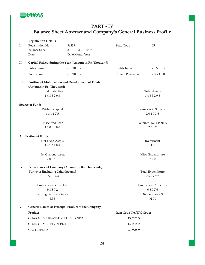

# **PART - IV Balance Sheet Abstract and Company's General Business Profile**

|      | <b>Registration Details</b>              |                                                         |                         |                          |
|------|------------------------------------------|---------------------------------------------------------|-------------------------|--------------------------|
| Ι.   | Registration No.                         | 36433                                                   | <b>State Code</b>       | 05                       |
|      | <b>Balance Sheet</b>                     | $31 - 3 - 2009$                                         |                         |                          |
|      | Date                                     | Date Month Year                                         |                         |                          |
| П.   |                                          | Capital Raised during the Year (Amount in Rs. Thousand) |                         |                          |
|      | Public Issue                             | $-$ NIL $-$                                             | Rights Issue            | - $NIL$ -                |
|      | <b>Bonus</b> Issue                       | - $NIL$ -                                               | Private Placement       | 255150                   |
| III. |                                          | Position of Mobilisation and Development of Funds       |                         |                          |
|      | (Amount in Rs. Thousand)                 |                                                         |                         |                          |
|      | <b>Total Liabilities</b>                 |                                                         |                         | <b>Total Assets</b>      |
|      | 1485293                                  |                                                         |                         | 1485293                  |
|      | <b>Source of Funds</b>                   |                                                         |                         |                          |
|      | Paid-up Capital                          |                                                         |                         | Reserves & Surplus       |
|      | 181175                                   |                                                         |                         | 201736                   |
|      | Unsecured Loan                           |                                                         |                         | Deferred Tax Liability   |
|      | 1100000                                  |                                                         |                         | 2382                     |
|      | <b>Application of Funds</b>              |                                                         |                         |                          |
|      | Net Fixed Assets                         |                                                         |                         | Investment               |
|      |                                          |                                                         |                         |                          |
|      | 1413708                                  |                                                         |                         | 13                       |
|      | <b>Net Current Assets</b>                |                                                         |                         |                          |
|      | 70851                                    |                                                         |                         | Misc. Expenditure<br>720 |
| IV.  |                                          | Performance of Company (Amount in Rs. Thousands)        |                         |                          |
|      | Turnover [Including Other Income]        |                                                         |                         | Total Expenditure        |
|      | 356644                                   |                                                         |                         | 257772                   |
|      | Profit/Loss Before Tax                   |                                                         |                         | Profit/Loss After Tax    |
|      | 98872                                    |                                                         |                         | 66976                    |
|      | Earning Per Share in Rs.                 |                                                         |                         | Dividend rate %          |
|      | 5.33                                     |                                                         |                         | <b>NIL</b>               |
| V.   |                                          | Generic Names of Principal Product of the Company       |                         |                          |
|      | Product                                  |                                                         | Item Code No.(ITC Code) |                          |
|      | <b>GUAR GUM TREATED &amp; PULVERISED</b> |                                                         | 13023203                |                          |
|      | <b>GUAR GUM REFIND SPLIT</b>             |                                                         | 13023202                |                          |
|      | <b>CATTLEFEED</b>                        |                                                         | 23099009                |                          |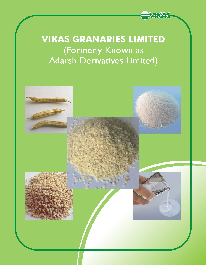

# **VIKAS GRANARIES LIMITED** (Formerly Known as **Adarsh Derivatives Limited)**